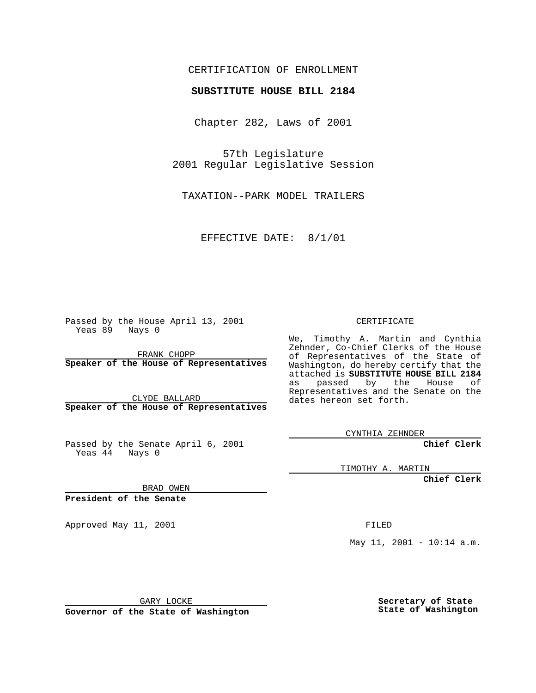CERTIFICATION OF ENROLLMENT

## **SUBSTITUTE HOUSE BILL 2184**

Chapter 282, Laws of 2001

57th Legislature 2001 Regular Legislative Session

TAXATION--PARK MODEL TRAILERS

EFFECTIVE DATE: 8/1/01

Passed by the House April 13, 2001 Yeas 89 Nays 0

FRANK CHOPP **Speaker of the House of Representatives**

CLYDE BALLARD **Speaker of the House of Representatives**

Passed by the Senate April 6, 2001 Yeas  $4\overline{4}$  Nays 0

CERTIFICATE

We, Timothy A. Martin and Cynthia Zehnder, Co-Chief Clerks of the House of Representatives of the State of Washington, do hereby certify that the attached is **SUBSTITUTE HOUSE BILL 2184** as passed by the House of Representatives and the Senate on the dates hereon set forth.

CYNTHIA ZEHNDER

**Chief Clerk**

TIMOTHY A. MARTIN

**Chief Clerk**

BRAD OWEN

**President of the Senate**

Approved May 11, 2001 FILED

May 11, 2001 - 10:14 a.m.

GARY LOCKE

**Governor of the State of Washington**

**Secretary of State State of Washington**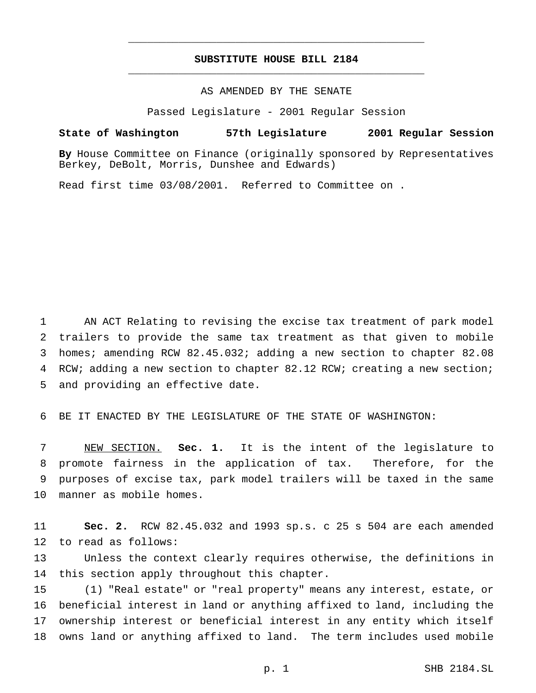## **SUBSTITUTE HOUSE BILL 2184** \_\_\_\_\_\_\_\_\_\_\_\_\_\_\_\_\_\_\_\_\_\_\_\_\_\_\_\_\_\_\_\_\_\_\_\_\_\_\_\_\_\_\_\_\_\_\_

\_\_\_\_\_\_\_\_\_\_\_\_\_\_\_\_\_\_\_\_\_\_\_\_\_\_\_\_\_\_\_\_\_\_\_\_\_\_\_\_\_\_\_\_\_\_\_

AS AMENDED BY THE SENATE

Passed Legislature - 2001 Regular Session

**State of Washington 57th Legislature 2001 Regular Session**

**By** House Committee on Finance (originally sponsored by Representatives Berkey, DeBolt, Morris, Dunshee and Edwards)

Read first time 03/08/2001. Referred to Committee on .

 AN ACT Relating to revising the excise tax treatment of park model trailers to provide the same tax treatment as that given to mobile homes; amending RCW 82.45.032; adding a new section to chapter 82.08 RCW; adding a new section to chapter 82.12 RCW; creating a new section; and providing an effective date.

BE IT ENACTED BY THE LEGISLATURE OF THE STATE OF WASHINGTON:

 NEW SECTION. **Sec. 1.** It is the intent of the legislature to promote fairness in the application of tax. Therefore, for the purposes of excise tax, park model trailers will be taxed in the same manner as mobile homes.

 **Sec. 2.** RCW 82.45.032 and 1993 sp.s. c 25 s 504 are each amended to read as follows:

 Unless the context clearly requires otherwise, the definitions in 14 this section apply throughout this chapter.

 (1) "Real estate" or "real property" means any interest, estate, or beneficial interest in land or anything affixed to land, including the ownership interest or beneficial interest in any entity which itself owns land or anything affixed to land. The term includes used mobile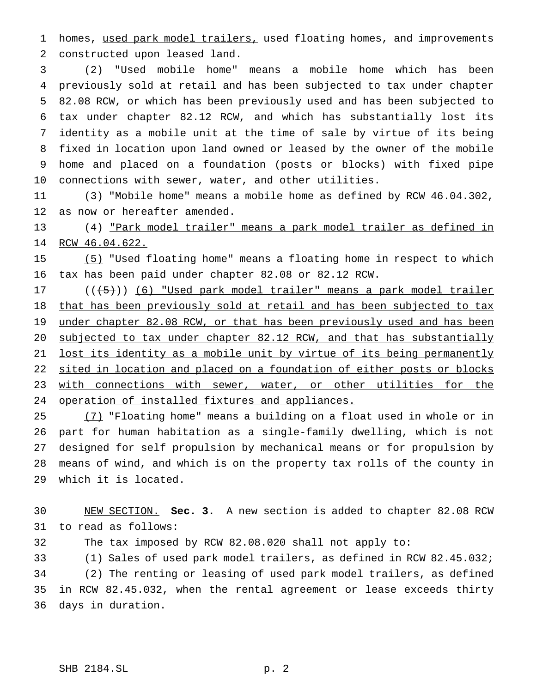homes, used park model trailers, used floating homes, and improvements constructed upon leased land.

 (2) "Used mobile home" means a mobile home which has been previously sold at retail and has been subjected to tax under chapter 82.08 RCW, or which has been previously used and has been subjected to tax under chapter 82.12 RCW, and which has substantially lost its identity as a mobile unit at the time of sale by virtue of its being fixed in location upon land owned or leased by the owner of the mobile home and placed on a foundation (posts or blocks) with fixed pipe connections with sewer, water, and other utilities.

 (3) "Mobile home" means a mobile home as defined by RCW 46.04.302, as now or hereafter amended.

 (4) "Park model trailer" means a park model trailer as defined in RCW 46.04.622.

 (5) "Used floating home" means a floating home in respect to which tax has been paid under chapter 82.08 or 82.12 RCW.

17 (((+5))) (6) "Used park model trailer" means a park model trailer that has been previously sold at retail and has been subjected to tax 19 under chapter 82.08 RCW, or that has been previously used and has been 20 subjected to tax under chapter 82.12 RCW, and that has substantially 21 lost its identity as a mobile unit by virtue of its being permanently 22 sited in location and placed on a foundation of either posts or blocks 23 with connections with sewer, water, or other utilities for the operation of installed fixtures and appliances.

 (7) "Floating home" means a building on a float used in whole or in part for human habitation as a single-family dwelling, which is not designed for self propulsion by mechanical means or for propulsion by means of wind, and which is on the property tax rolls of the county in which it is located.

 NEW SECTION. **Sec. 3.** A new section is added to chapter 82.08 RCW to read as follows:

The tax imposed by RCW 82.08.020 shall not apply to:

 (1) Sales of used park model trailers, as defined in RCW 82.45.032; (2) The renting or leasing of used park model trailers, as defined

 in RCW 82.45.032, when the rental agreement or lease exceeds thirty days in duration.